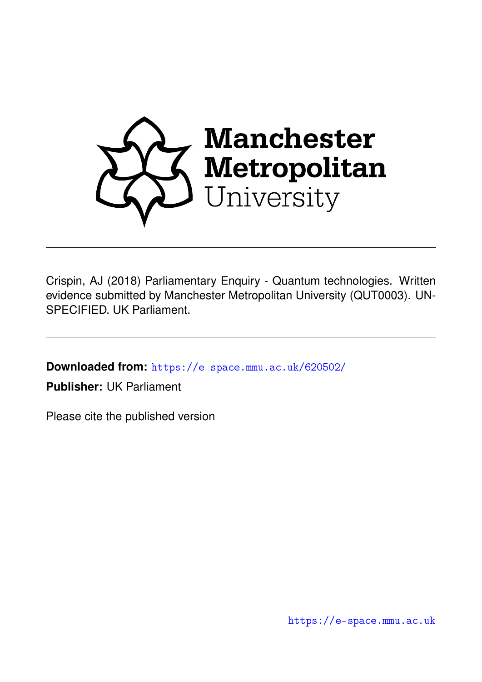

Crispin, AJ (2018) Parliamentary Enquiry - Quantum technologies. Written evidence submitted by Manchester Metropolitan University (QUT0003). UN-SPECIFIED. UK Parliament.

**Downloaded from:** <https://e-space.mmu.ac.uk/620502/>

**Publisher:** UK Parliament

Please cite the published version

<https://e-space.mmu.ac.uk>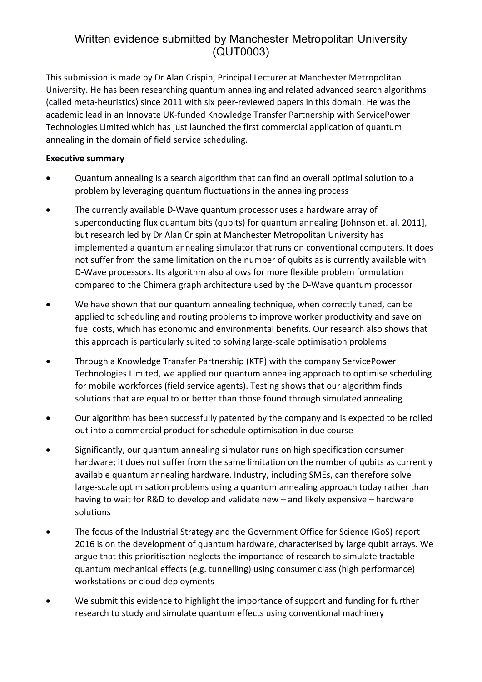This submission is made by Dr Alan Crispin, Principal Lecturer at Manchester Metropolitan University. He has been researching quantum annealing and related advanced search algorithms (called meta-heuristics) since 2011 with six peer-reviewed papers in this domain. He was the academic lead in an Innovate UK-funded Knowledge Transfer Partnership with ServicePower Technologies Limited which has just launched the first commercial application of quantum annealing in the domain of field service scheduling.

#### **Executive summary**

- Quantum annealing is a search algorithm that can find an overall optimal solution to a problem by leveraging quantum fluctuations in the annealing process
- The currently available D-Wave quantum processor uses a hardware array of superconducting flux quantum bits (qubits) for quantum annealing [Johnson et. al. 2011], but research led by Dr Alan Crispin at Manchester Metropolitan University has implemented a quantum annealing simulator that runs on conventional computers. It does not suffer from the same limitation on the number of qubits as is currently available with D-Wave processors. Its algorithm also allows for more flexible problem formulation compared to the Chimera graph architecture used by the D-Wave quantum processor
- We have shown that our quantum annealing technique, when correctly tuned, can be applied to scheduling and routing problems to improve worker productivity and save on fuel costs, which has economic and environmental benefits. Our research also shows that this approach is particularly suited to solving large-scale optimisation problems
- Through a Knowledge Transfer Partnership (KTP) with the company ServicePower Technologies Limited, we applied our quantum annealing approach to optimise scheduling for mobile workforces (field service agents). Testing shows that our algorithm finds solutions that are equal to or better than those found through simulated annealing
- Our algorithm has been successfully patented by the company and is expected to be rolled out into a commercial product for schedule optimisation in due course
- Significantly, our quantum annealing simulator runs on high specification consumer hardware; it does not suffer from the same limitation on the number of qubits as currently available quantum annealing hardware. Industry, including SMEs, can therefore solve large-scale optimisation problems using a quantum annealing approach today rather than having to wait for R&D to develop and validate new – and likely expensive – hardware solutions
- The focus of the Industrial Strategy and the Government Office for Science (GoS) report 2016 is on the development of quantum hardware, characterised by large qubit arrays. We argue that this prioritisation neglects the importance of research to simulate tractable quantum mechanical effects (e.g. tunnelling) using consumer class (high performance) workstations or cloud deployments
- We submit this evidence to highlight the importance of support and funding for further research to study and simulate quantum effects using conventional machinery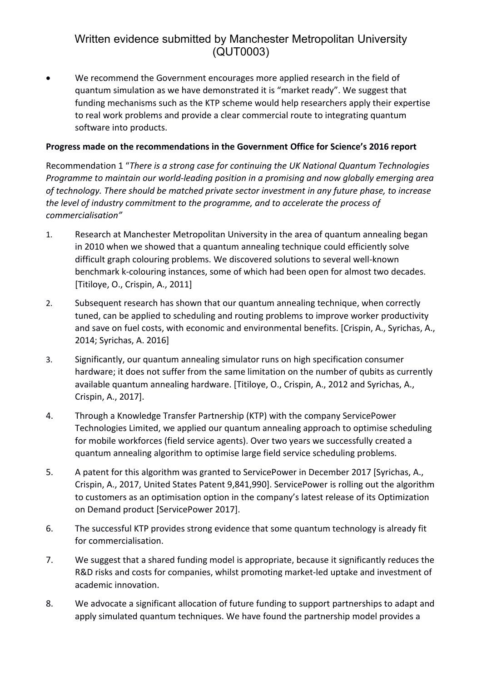We recommend the Government encourages more applied research in the field of quantum simulation as we have demonstrated it is "market ready". We suggest that funding mechanisms such as the KTP scheme would help researchers apply their expertise to real work problems and provide a clear commercial route to integrating quantum software into products.

#### **Progress made on the recommendations in the Government Office for Science's 2016 report**

Recommendation 1 "*There is a strong case for continuing the UK National Quantum Technologies Programme to maintain our world-leading position in a promising and now globally emerging area of technology. There should be matched private sector investment in any future phase, to increase the level of industry commitment to the programme, and to accelerate the process of commercialisation"*

- 1. Research at Manchester Metropolitan University in the area of quantum annealing began in 2010 when we showed that a quantum annealing technique could efficiently solve difficult graph colouring problems. We discovered solutions to several well-known benchmark k-colouring instances, some of which had been open for almost two decades. [Titiloye, O., Crispin, A., 2011]
- 2. Subsequent research has shown that our quantum annealing technique, when correctly tuned, can be applied to scheduling and routing problems to improve worker productivity and save on fuel costs, with economic and environmental benefits. [Crispin, A., Syrichas, A., 2014; Syrichas, A. 2016]
- 3. Significantly, our quantum annealing simulator runs on high specification consumer hardware; it does not suffer from the same limitation on the number of qubits as currently available quantum annealing hardware. [Titiloye, O., Crispin, A., 2012 and Syrichas, A., Crispin, A., 2017].
- 4. Through a Knowledge Transfer Partnership (KTP) with the company ServicePower Technologies Limited, we applied our quantum annealing approach to optimise scheduling for mobile workforces (field service agents). Over two years we successfully created a quantum annealing algorithm to optimise large field service scheduling problems.
- 5. A patent for this algorithm was granted to ServicePower in December 2017 [Syrichas, A., Crispin, A., 2017, United States Patent 9,841,990]. ServicePower is rolling out the algorithm to customers as an optimisation option in the company's latest release of its Optimization on Demand product [ServicePower 2017].
- 6. The successful KTP provides strong evidence that some quantum technology is already fit for commercialisation.
- 7. We suggest that a shared funding model is appropriate, because it significantly reduces the R&D risks and costs for companies, whilst promoting market-led uptake and investment of academic innovation.
- 8. We advocate a significant allocation of future funding to support partnerships to adapt and apply simulated quantum techniques. We have found the partnership model provides a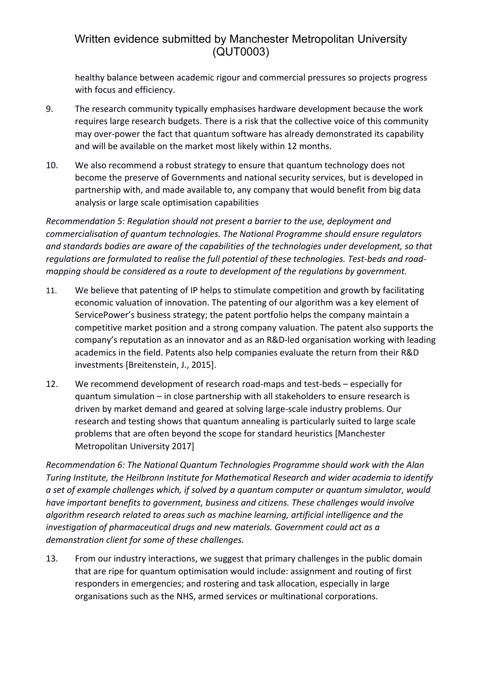healthy balance between academic rigour and commercial pressures so projects progress with focus and efficiency.

- 9. The research community typically emphasises hardware development because the work requires large research budgets. There is a risk that the collective voice of this community may over-power the fact that quantum software has already demonstrated its capability and will be available on the market most likely within 12 months.
- 10. We also recommend a robust strategy to ensure that quantum technology does not become the preserve of Governments and national security services, but is developed in partnership with, and made available to, any company that would benefit from big data analysis or large scale optimisation capabilities

*Recommendation 5: Regulation should not present a barrier to the use, deployment and commercialisation of quantum technologies. The National Programme should ensure regulators and standards bodies are aware of the capabilities of the technologies under development, so that regulations are formulated to realise the full potential of these technologies. Test-beds and roadmapping should be considered as a route to development of the regulations by government.*

- 11. We believe that patenting of IP helps to stimulate competition and growth by facilitating economic valuation of innovation. The patenting of our algorithm was a key element of ServicePower's business strategy; the patent portfolio helps the company maintain a competitive market position and a strong company valuation. The patent also supports the company's reputation as an innovator and as an R&D-led organisation working with leading academics in the field. Patents also help companies evaluate the return from their R&D investments [Breitenstein, J., 2015].
- 12. We recommend development of research road-maps and test-beds especially for quantum simulation – in close partnership with all stakeholders to ensure research is driven by market demand and geared at solving large-scale industry problems. Our research and testing shows that quantum annealing is particularly suited to large scale problems that are often beyond the scope for standard heuristics [Manchester Metropolitan University 2017]

*Recommendation 6: The National Quantum Technologies Programme should work with the Alan Turing Institute, the Heilbronn Institute for Mathematical Research and wider academia to identify a set of example challenges which, if solved by a quantum computer or quantum simulator, would have important benefits to government, business and citizens. These challenges would involve algorithm research related to areas such as machine learning, artificial intelligence and the investigation of pharmaceutical drugs and new materials. Government could act as a demonstration client for some of these challenges.*

13. From our industry interactions, we suggest that primary challenges in the public domain that are ripe for quantum optimisation would include: assignment and routing of first responders in emergencies; and rostering and task allocation, especially in large organisations such as the NHS, armed services or multinational corporations.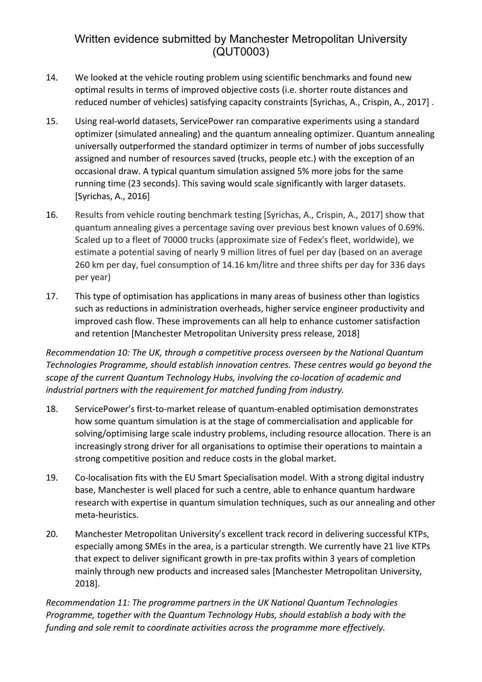- 14. We looked at the vehicle routing problem using scientific benchmarks and found new optimal results in terms of improved objective costs (i.e. shorter route distances and reduced number of vehicles) satisfying capacity constraints [Syrichas, A., Crispin, A., 2017] .
- 15. Using real-world datasets, ServicePower ran comparative experiments using a standard optimizer (simulated annealing) and the quantum annealing optimizer. Quantum annealing universally outperformed the standard optimizer in terms of number of jobs successfully assigned and number of resources saved (trucks, people etc.) with the exception of an occasional draw. A typical quantum simulation assigned 5% more jobs for the same running time (23 seconds). This saving would scale significantly with larger datasets. [Syrichas, A., 2016]
- 16. Results from vehicle routing benchmark testing [Syrichas, A., Crispin, A., 2017] show that quantum annealing gives a percentage saving over previous best known values of 0.69%. Scaled up to a fleet of 70000 trucks (approximate size of Fedex's fleet, worldwide), we estimate a potential saving of nearly 9 million litres of fuel per day (based on an average 260 km per day, fuel consumption of 14.16 km/litre and three shifts per day for 336 days per year)
- 17. This type of optimisation has applications in many areas of business other than logistics such as reductions in administration overheads, higher service engineer productivity and improved cash flow. These improvements can all help to enhance customer satisfaction and retention [Manchester Metropolitan University press release, 2018]

*Recommendation 10: The UK, through a competitive process overseen by the National Quantum Technologies Programme, should establish innovation centres. These centres would go beyond the scope of the current Quantum Technology Hubs, involving the co-location of academic and industrial partners with the requirement for matched funding from industry.*

- 18. ServicePower's first-to-market release of quantum-enabled optimisation demonstrates how some quantum simulation is at the stage of commercialisation and applicable for solving/optimising large scale industry problems, including resource allocation. There is an increasingly strong driver for all organisations to optimise their operations to maintain a strong competitive position and reduce costs in the global market.
- 19. Co-localisation fits with the EU Smart Specialisation model. With a strong digital industry base, Manchester is well placed for such a centre, able to enhance quantum hardware research with expertise in quantum simulation techniques, such as our annealing and other meta-heuristics.
- 20. Manchester Metropolitan University's excellent track record in delivering successful KTPs, especially among SMEs in the area, is a particular strength. We currently have 21 live KTPs that expect to deliver significant growth in pre-tax profits within 3 years of completion mainly through new products and increased sales [Manchester Metropolitan University, 2018].

*Recommendation 11: The programme partners in the UK National Quantum Technologies Programme, together with the Quantum Technology Hubs, should establish a body with the funding and sole remit to coordinate activities across the programme more effectively.*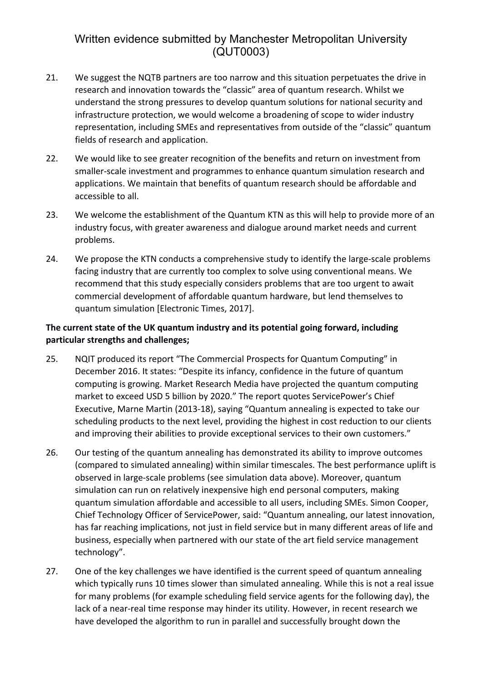- 21. We suggest the NQTB partners are too narrow and this situation perpetuates the drive in research and innovation towards the "classic" area of quantum research. Whilst we understand the strong pressures to develop quantum solutions for national security and infrastructure protection, we would welcome a broadening of scope to wider industry representation, including SMEs and representatives from outside of the "classic" quantum fields of research and application.
- 22. We would like to see greater recognition of the benefits and return on investment from smaller-scale investment and programmes to enhance quantum simulation research and applications. We maintain that benefits of quantum research should be affordable and accessible to all.
- 23. We welcome the establishment of the Quantum KTN as this will help to provide more of an industry focus, with greater awareness and dialogue around market needs and current problems.
- 24. We propose the KTN conducts a comprehensive study to identify the large-scale problems facing industry that are currently too complex to solve using conventional means. We recommend that this study especially considers problems that are too urgent to await commercial development of affordable quantum hardware, but lend themselves to quantum simulation [Electronic Times, 2017].

#### **The current state of the UK quantum industry and its potential going forward, including particular strengths and challenges;**

- 25. NQIT produced its report "The Commercial Prospects for Quantum Computing" in December 2016. It states: "Despite its infancy, confidence in the future of quantum computing is growing. Market Research Media have projected the quantum computing market to exceed USD 5 billion by 2020." The report quotes ServicePower's Chief Executive, Marne Martin (2013-18), saying "Quantum annealing is expected to take our scheduling products to the next level, providing the highest in cost reduction to our clients and improving their abilities to provide exceptional services to their own customers."
- 26. Our testing of the quantum annealing has demonstrated its ability to improve outcomes (compared to simulated annealing) within similar timescales. The best performance uplift is observed in large-scale problems (see simulation data above). Moreover, quantum simulation can run on relatively inexpensive high end personal computers, making quantum simulation affordable and accessible to all users, including SMEs. Simon Cooper, Chief Technology Officer of ServicePower, said: "Quantum annealing, our latest innovation, has far reaching implications, not just in field service but in many different areas of life and business, especially when partnered with our state of the art field service management technology".
- 27. One of the key challenges we have identified is the current speed of quantum annealing which typically runs 10 times slower than simulated annealing. While this is not a real issue for many problems (for example scheduling field service agents for the following day), the lack of a near-real time response may hinder its utility. However, in recent research we have developed the algorithm to run in parallel and successfully brought down the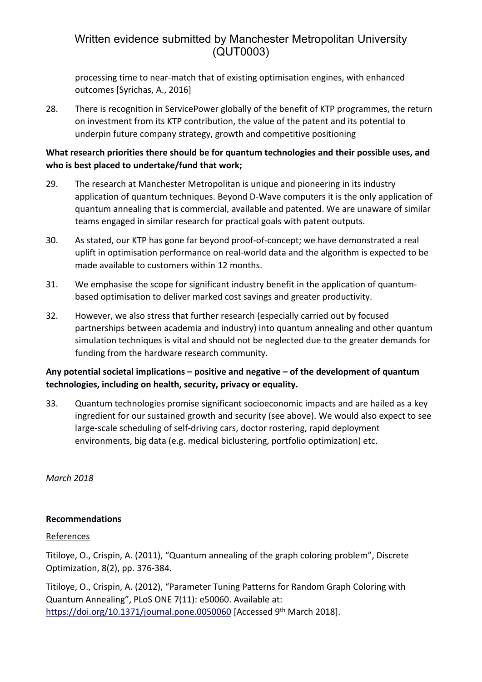processing time to near-match that of existing optimisation engines, with enhanced outcomes [Syrichas, A., 2016]

28. There is recognition in ServicePower globally of the benefit of KTP programmes, the return on investment from its KTP contribution, the value of the patent and its potential to underpin future company strategy, growth and competitive positioning

#### **What research priorities there should be for quantum technologies and their possible uses, and who is best placed to undertake/fund that work;**

- 29. The research at Manchester Metropolitan is unique and pioneering in its industry application of quantum techniques. Beyond D-Wave computers it is the only application of quantum annealing that is commercial, available and patented. We are unaware of similar teams engaged in similar research for practical goals with patent outputs.
- 30. As stated, our KTP has gone far beyond proof-of-concept; we have demonstrated a real uplift in optimisation performance on real-world data and the algorithm is expected to be made available to customers within 12 months.
- 31. We emphasise the scope for significant industry benefit in the application of quantumbased optimisation to deliver marked cost savings and greater productivity.
- 32. However, we also stress that further research (especially carried out by focused partnerships between academia and industry) into quantum annealing and other quantum simulation techniques is vital and should not be neglected due to the greater demands for funding from the hardware research community.

#### **Any potential societal implications – positive and negative – of the development of quantum technologies, including on health, security, privacy or equality.**

33. Quantum technologies promise significant socioeconomic impacts and are hailed as a key ingredient for our sustained growth and security (see above). We would also expect to see large-scale scheduling of self-driving cars, doctor rostering, rapid deployment environments, big data (e.g. medical biclustering, portfolio optimization) etc.

*March 2018*

#### **Recommendations**

#### References

Titiloye, O., Crispin, A. (2011), "Quantum annealing of the graph coloring problem", Discrete Optimization, 8(2), pp. 376-384.

Titiloye, O., Crispin, A. (2012), "Parameter Tuning Patterns for Random Graph Coloring with Quantum Annealing", PLoS ONE 7(11): e50060. Available at: <https://doi.org/10.1371/journal.pone.0050060> [Accessed 9<sup>th</sup> March 2018].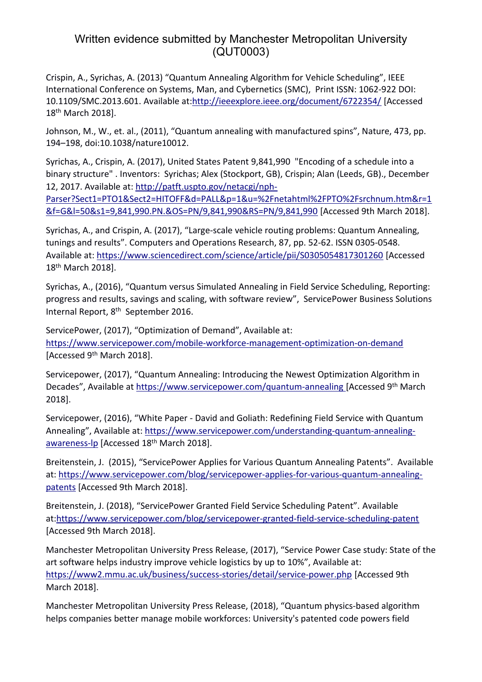Crispin, A., Syrichas, A. (2013) "Quantum Annealing Algorithm for Vehicle Scheduling", IEEE International Conference on Systems, Man, and Cybernetics (SMC), Print ISSN: 1062-922 DOI: 10.1109/SMC.2013.601. Available at[:http://ieeexplore.ieee.org/document/6722354/](http://ieeexplore.ieee.org/document/6722354/) [Accessed 18th March 2018].

Johnson, M., W., et. al., (2011), "Quantum annealing with manufactured spins", Nature, 473, pp. 194–198, doi:10.1038/nature10012.

Syrichas, A., Crispin, A. (2017), United States Patent 9,841,990 "Encoding of a schedule into a binary structure" . Inventors: Syrichas; Alex (Stockport, GB), Crispin; Alan (Leeds, GB)., December 12, 2017. Available at: [http://patft.uspto.gov/netacgi/nph-](http://patft.uspto.gov/netacgi/nph-Parser?Sect1=PTO1&Sect2=HITOFF&d=PALL&p=1&u=%2Fnetahtml%2FPTO%2Fsrchnum.htm&r=1&f=G&l=50&s1=9,841,990.PN.&OS=PN/9,841,990&RS=PN/9,841,990)

[Parser?Sect1=PTO1&Sect2=HITOFF&d=PALL&p=1&u=%2Fnetahtml%2FPTO%2Fsrchnum.htm&r=1](http://patft.uspto.gov/netacgi/nph-Parser?Sect1=PTO1&Sect2=HITOFF&d=PALL&p=1&u=%2Fnetahtml%2FPTO%2Fsrchnum.htm&r=1&f=G&l=50&s1=9,841,990.PN.&OS=PN/9,841,990&RS=PN/9,841,990) [&f=G&l=50&s1=9,841,990.PN.&OS=PN/9,841,990&RS=PN/9,841,990](http://patft.uspto.gov/netacgi/nph-Parser?Sect1=PTO1&Sect2=HITOFF&d=PALL&p=1&u=%2Fnetahtml%2FPTO%2Fsrchnum.htm&r=1&f=G&l=50&s1=9,841,990.PN.&OS=PN/9,841,990&RS=PN/9,841,990) [Accessed 9th March 2018].

Syrichas, A., and Crispin, A. (2017), "Large-scale vehicle routing problems: Quantum Annealing, tunings and results". Computers and Operations Research, 87, pp. 52-62. ISSN 0305-0548. Available at: <https://www.sciencedirect.com/science/article/pii/S0305054817301260> [Accessed 18th March 2018].

Syrichas, A., (2016), "Quantum versus Simulated Annealing in Field Service Scheduling, Reporting: progress and results, savings and scaling, with software review", ServicePower Business Solutions Internal Report, 8<sup>th</sup> September 2016.

ServicePower, (2017), "Optimization of Demand", Available at: <https://www.servicepower.com/mobile-workforce-management-optimization-on-demand> [Accessed 9<sup>th</sup> March 2018].

Servicepower, (2017), "Quantum Annealing: Introducing the Newest Optimization Algorithm in Decades", Available at <https://www.servicepower.com/quantum-annealing> [Accessed 9<sup>th</sup> March 2018].

Servicepower, (2016), "White Paper - David and Goliath: Redefining Field Service with Quantum Annealing", Available at: [https://www.servicepower.com/understanding-quantum-annealing](https://www.servicepower.com/understanding-quantum-annealing-awareness-lp)[awareness-lp](https://www.servicepower.com/understanding-quantum-annealing-awareness-lp) [Accessed 18<sup>th</sup> March 2018].

Breitenstein, J. (2015), "ServicePower Applies for Various Quantum Annealing Patents". Available at: [https://www.servicepower.com/blog/servicepower-applies-for-various-quantum-annealing](https://www.servicepower.com/blog/servicepower-applies-for-various-quantum-annealing-patents)[patents](https://www.servicepower.com/blog/servicepower-applies-for-various-quantum-annealing-patents) [Accessed 9th March 2018].

Breitenstein, J. (2018), "ServicePower Granted Field Service Scheduling Patent". Available at:<https://www.servicepower.com/blog/servicepower-granted-field-service-scheduling-patent> [Accessed 9th March 2018].

Manchester Metropolitan University Press Release, (2017), "Service Power Case study: State of the art software helps industry improve vehicle logistics by up to 10%", Available at: <https://www2.mmu.ac.uk/business/success-stories/detail/service-power.php> [Accessed 9th March 2018].

Manchester Metropolitan University Press Release, (2018), "Quantum physics-based algorithm helps companies better manage mobile workforces: University's patented code powers field